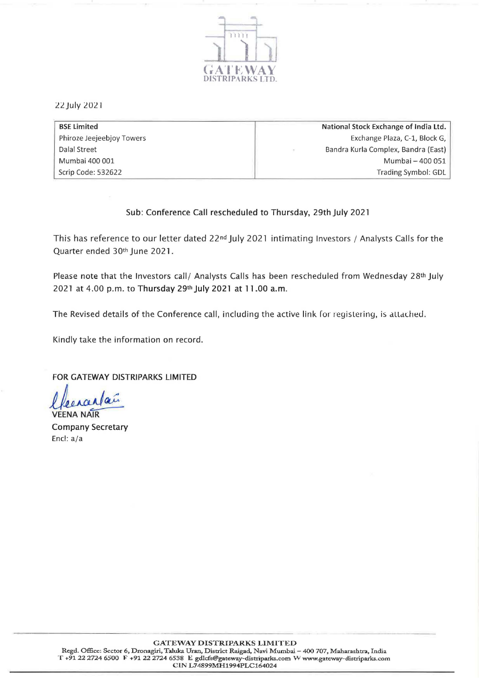

22 July 2021

| <b>BSE Limited</b>        | National Stock Exchange of India Ltd. |
|---------------------------|---------------------------------------|
| Phiroze Jeejeebjoy Towers | Exchange Plaza, C-1, Block G,         |
| Dalal Street              | Bandra Kurla Complex, Bandra (East)   |
| Mumbai 400 001            | Mumbai - 400 051                      |
| Scrip Code: 532622        | Trading Symbol: GDL                   |

## Sub: Conference Call rescheduled to Thursday, 29th July 2021

This has reference to our letter dated 22<sup>nd</sup> July 2021 intimating Investors / Analysts Calls for the Quarter ended 30th June 2021.

Please note that the Investors call/ Analysts Calls has been rescheduled from Wednesday 28th July 2021 at 4.00 p.m. to Thursday 29th July 2021 at 11.00 a.m.

The Revised details of the Conference call, including the active link for registering, is attached.

Kindly take the information on record.

FOR GATEWAY DISTRIPARKS LIMITED

**VEENA NAIR** Company Secretary Encl: a/a